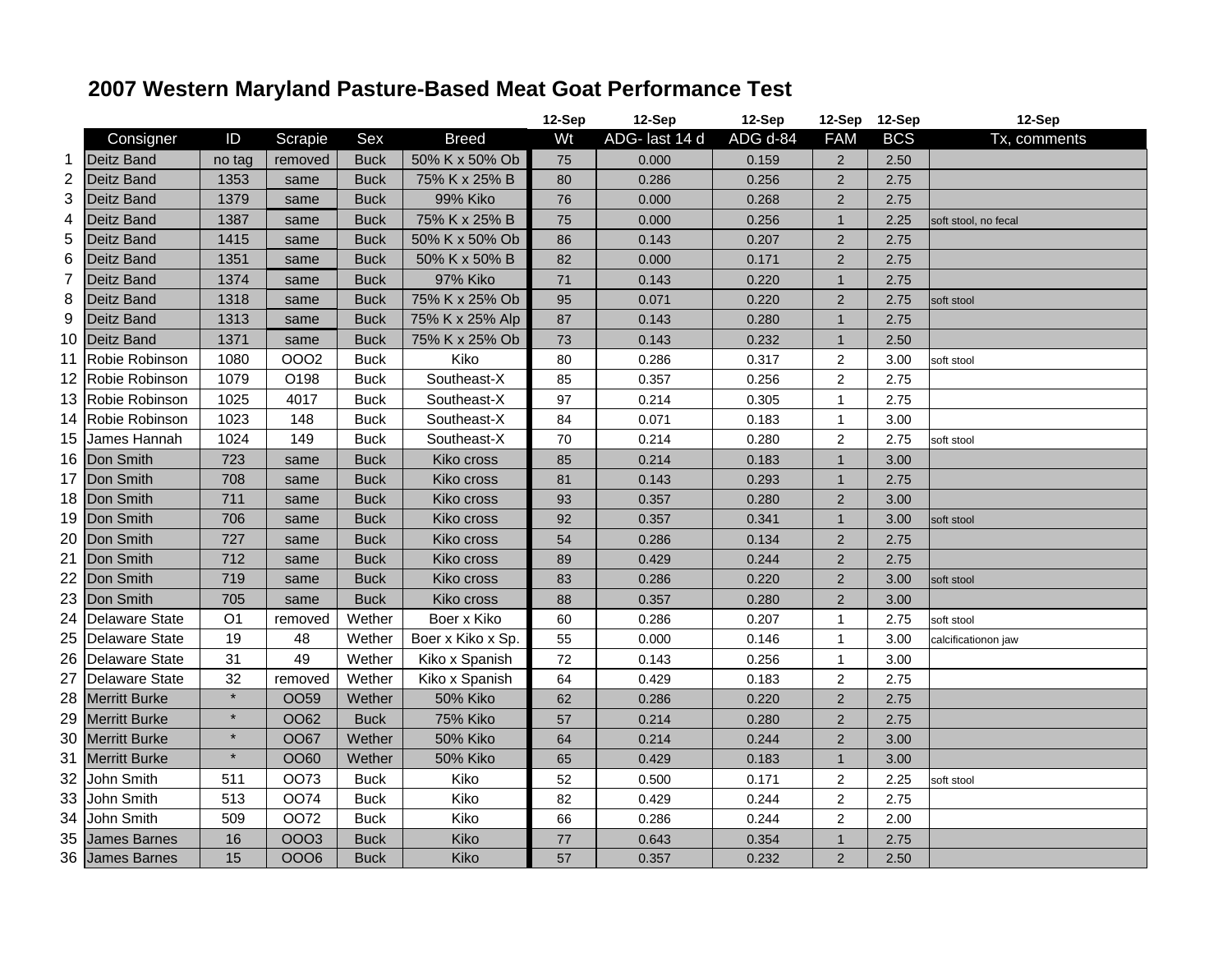## **2007 Western Maryland Pasture-Based Meat Goat Performance Test**

|                |                       |                |                  |             |                   | 12-Sep | 12-Sep         | 12-Sep   | 12-Sep 12-Sep  |            | 12-Sep               |
|----------------|-----------------------|----------------|------------------|-------------|-------------------|--------|----------------|----------|----------------|------------|----------------------|
|                | Consigner             | ID             | Scrapie          | Sex         | <b>Breed</b>      | Wt     | ADG- last 14 d | ADG d-84 | <b>FAM</b>     | <b>BCS</b> | Tx, comments         |
| $\mathbf{1}$   | <b>Deitz Band</b>     | no tag         | removed          | <b>Buck</b> | 50% K x 50% Ob    | 75     | 0.000          | 0.159    | $\overline{2}$ | 2.50       |                      |
| $\mathbf 2$    | <b>Deitz Band</b>     | 1353           | same             | <b>Buck</b> | 75% K x 25% B     | 80     | 0.286          | 0.256    | $\overline{2}$ | 2.75       |                      |
| 3              | <b>Deitz Band</b>     | 1379           | same             | <b>Buck</b> | 99% Kiko          | 76     | 0.000          | 0.268    | $\overline{2}$ | 2.75       |                      |
| 4              | Deitz Band            | 1387           | same             | <b>Buck</b> | 75% K x 25% B     | 75     | 0.000          | 0.256    | $\overline{1}$ | 2.25       | soft stool, no fecal |
| 5              | <b>Deitz Band</b>     | 1415           | same             | <b>Buck</b> | 50% K x 50% Ob    | 86     | 0.143          | 0.207    | $\overline{2}$ | 2.75       |                      |
| 6              | Deitz Band            | 1351           | same             | <b>Buck</b> | 50% K x 50% B     | 82     | 0.000          | 0.171    | $\overline{2}$ | 2.75       |                      |
| $\overline{7}$ | Deitz Band            | 1374           | same             | <b>Buck</b> | 97% Kiko          | 71     | 0.143          | 0.220    | $\mathbf 1$    | 2.75       |                      |
| 8              | Deitz Band            | 1318           | same             | <b>Buck</b> | 75% K x 25% Ob    | 95     | 0.071          | 0.220    | $\overline{2}$ | 2.75       | soft stool           |
| 9              | Deitz Band            | 1313           | same             | <b>Buck</b> | 75% K x 25% Alp   | 87     | 0.143          | 0.280    | $\mathbf 1$    | 2.75       |                      |
| 10             | <b>Deitz Band</b>     | 1371           | same             | <b>Buck</b> | 75% K x 25% Ob    | 73     | 0.143          | 0.232    | $\mathbf{1}$   | 2.50       |                      |
| 11             | Robie Robinson        | 1080           | 0002             | <b>Buck</b> | Kiko              | 80     | 0.286          | 0.317    | $\overline{2}$ | 3.00       | soft stool           |
|                | 12 Robie Robinson     | 1079           | O198             | <b>Buck</b> | Southeast-X       | 85     | 0.357          | 0.256    | $\overline{c}$ | 2.75       |                      |
| 13             | Robie Robinson        | 1025           | 4017             | <b>Buck</b> | Southeast-X       | 97     | 0.214          | 0.305    | $\mathbf{1}$   | 2.75       |                      |
| 14             | Robie Robinson        | 1023           | 148              | <b>Buck</b> | Southeast-X       | 84     | 0.071          | 0.183    | 1              | 3.00       |                      |
| 15             | James Hannah          | 1024           | 149              | <b>Buck</b> | Southeast-X       | 70     | 0.214          | 0.280    | $\overline{2}$ | 2.75       | soft stool           |
| 16             | Don Smith             | 723            | same             | <b>Buck</b> | Kiko cross        | 85     | 0.214          | 0.183    | $\mathbf 1$    | 3.00       |                      |
| 17             | Don Smith             | 708            | same             | <b>Buck</b> | Kiko cross        | 81     | 0.143          | 0.293    | $\overline{1}$ | 2.75       |                      |
| 18             | Don Smith             | 711            | same             | <b>Buck</b> | Kiko cross        | 93     | 0.357          | 0.280    | $\overline{2}$ | 3.00       |                      |
| 19             | Don Smith             | 706            | same             | <b>Buck</b> | Kiko cross        | 92     | 0.357          | 0.341    | $\mathbf 1$    | 3.00       | soft stool           |
| 20             | Don Smith             | 727            | same             | <b>Buck</b> | Kiko cross        | 54     | 0.286          | 0.134    | $\overline{2}$ | 2.75       |                      |
| 21             | Don Smith             | 712            | same             | <b>Buck</b> | Kiko cross        | 89     | 0.429          | 0.244    | $\overline{2}$ | 2.75       |                      |
| 22             | Don Smith             | 719            | same             | <b>Buck</b> | Kiko cross        | 83     | 0.286          | 0.220    | $\overline{2}$ | 3.00       | soft stool           |
| 23             | Don Smith             | 705            | same             | <b>Buck</b> | Kiko cross        | 88     | 0.357          | 0.280    | $\overline{2}$ | 3.00       |                      |
| 24             | <b>Delaware State</b> | O <sub>1</sub> | removed          | Wether      | Boer x Kiko       | 60     | 0.286          | 0.207    | 1              | 2.75       | soft stool           |
| 25             | <b>Delaware State</b> | 19             | 48               | Wether      | Boer x Kiko x Sp. | 55     | 0.000          | 0.146    | 1              | 3.00       | calcificationon jaw  |
| 26             | <b>Delaware State</b> | 31             | 49               | Wether      | Kiko x Spanish    | 72     | 0.143          | 0.256    | $\mathbf 1$    | 3.00       |                      |
| 27             | <b>Delaware State</b> | 32             | removed          | Wether      | Kiko x Spanish    | 64     | 0.429          | 0.183    | $\overline{2}$ | 2.75       |                      |
| 28             | <b>Merritt Burke</b>  | $\star$        | OO <sub>59</sub> | Wether      | 50% Kiko          | 62     | 0.286          | 0.220    | $\overline{2}$ | 2.75       |                      |
| 29             | <b>Merritt Burke</b>  | $\star$        | OO62             | <b>Buck</b> | 75% Kiko          | 57     | 0.214          | 0.280    | $\overline{2}$ | 2.75       |                      |
| 30             | <b>Merritt Burke</b>  | $\star$        | <b>OO67</b>      | Wether      | <b>50% Kiko</b>   | 64     | 0.214          | 0.244    | $\overline{2}$ | 3.00       |                      |
| 31             | <b>Merritt Burke</b>  | $\star$        | OO60             | Wether      | <b>50% Kiko</b>   | 65     | 0.429          | 0.183    | $\mathbf 1$    | 3.00       |                      |
| 32             | John Smith            | 511            | OO73             | <b>Buck</b> | Kiko              | 52     | 0.500          | 0.171    | 2              | 2.25       | soft stool           |
| 33             | John Smith            | 513            | <b>OO74</b>      | <b>Buck</b> | Kiko              | 82     | 0.429          | 0.244    | $\overline{2}$ | 2.75       |                      |
| 34             | John Smith            | 509            | <b>OO72</b>      | <b>Buck</b> | Kiko              | 66     | 0.286          | 0.244    | $\overline{2}$ | 2.00       |                      |
| 35             | <b>James Barnes</b>   | 16             | <b>OOO3</b>      | <b>Buck</b> | Kiko              | 77     | 0.643          | 0.354    | $\overline{1}$ | 2.75       |                      |
|                | 36 James Barnes       | 15             | <b>OOO6</b>      | <b>Buck</b> | Kiko              | 57     | 0.357          | 0.232    | $\overline{2}$ | 2.50       |                      |